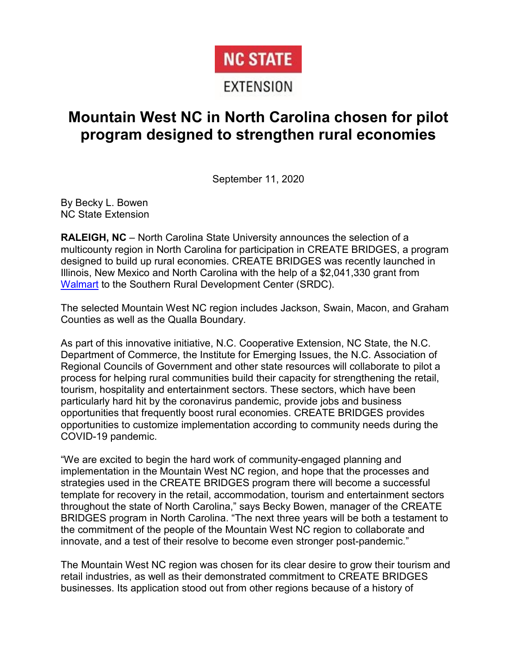# **NC STATE**

### EXTENSION

## **Mountain West NC in North Carolina chosen for pilot program designed to strengthen rural economies**

September 11, 2020

By Becky L. Bowen NC State Extension

**RALEIGH, NC** – North Carolina State University announces the selection of a multicounty region in North Carolina for participation in CREATE BRIDGES, a program designed to build up rural economies. CREATE BRIDGES was recently launched in Illinois, New Mexico and North Carolina with the help of a \$2,041,330 grant from [Walmart](https://walmart.org/) to the Southern Rural Development Center (SRDC).

The selected Mountain West NC region includes Jackson, Swain, Macon, and Graham Counties as well as the Qualla Boundary.

As part of this innovative initiative, N.C. Cooperative Extension, NC State, the N.C. Department of Commerce, the Institute for Emerging Issues, the N.C. Association of Regional Councils of Government and other state resources will collaborate to pilot a process for helping rural communities build their capacity for strengthening the retail, tourism, hospitality and entertainment sectors. These sectors, which have been particularly hard hit by the coronavirus pandemic, provide jobs and business opportunities that frequently boost rural economies. CREATE BRIDGES provides opportunities to customize implementation according to community needs during the COVID-19 pandemic.

"We are excited to begin the hard work of community-engaged planning and implementation in the Mountain West NC region, and hope that the processes and strategies used in the CREATE BRIDGES program there will become a successful template for recovery in the retail, accommodation, tourism and entertainment sectors throughout the state of North Carolina," says Becky Bowen, manager of the CREATE BRIDGES program in North Carolina. "The next three years will be both a testament to the commitment of the people of the Mountain West NC region to collaborate and innovate, and a test of their resolve to become even stronger post-pandemic."

The Mountain West NC region was chosen for its clear desire to grow their tourism and retail industries, as well as their demonstrated commitment to CREATE BRIDGES businesses. Its application stood out from other regions because of a history of